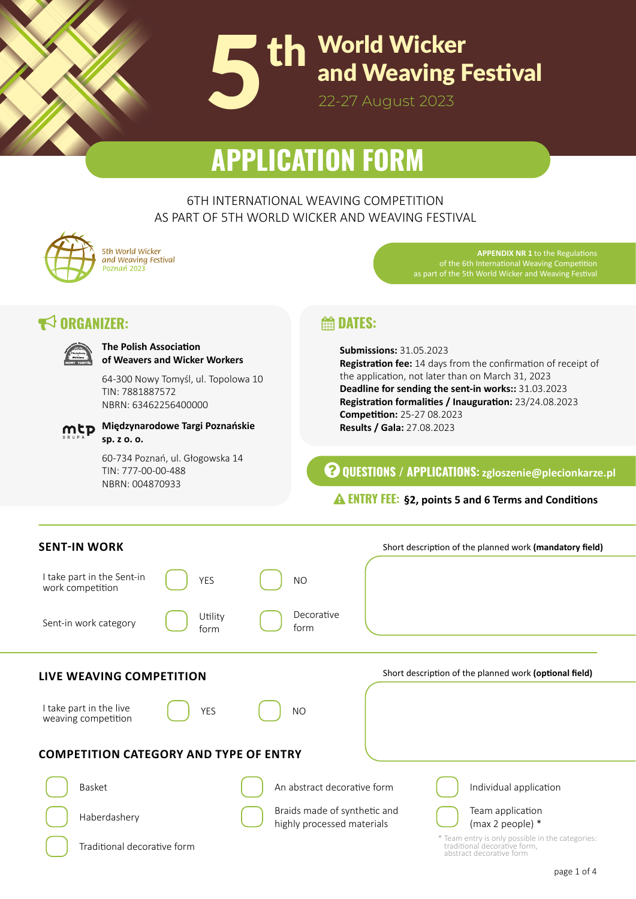

# **APPLICATION FORM**

6TH INTERNATIONAL WEAVING COMPETITION AS PART OF 5TH WORLD WICKER AND WEAVING FESTIVAL

*5th World Wicker and Weaving Festival*

**The Polish Association**

**Międzynarodowe Targi Poznańskie** 

TIN: 7881887572 NBRN: 63462256400000

TIN: 777-00-00-488 NBRN: 004870933

**sp. z o. o.**

**of Weavers and Wicker Workers**

60-734 Poznań, ul. Głogowska 14

64-300 Nowy Tomyśl, ul. Topolowa 10

 $\blacktriangleright$  **ORGANIZER:** 

**APPENDIX NR 1** to the Regulations of the 6th International Weaving Competition as part of the 5th World Wicker and Weaving Festival

# **External DATES:**

**Submissions:** 31.05.2023 **Registration fee:** 14 days from the confirmation of receipt of the application, not later than on March 31, 2023 **Deadline for sending the sent-in works::** 31.03.2023 **Registration formalities / Inauguration:** 23/24.08.2023 **Competition:** 25-27 08.2023 **Results / Gala:** 27.08.2023

**QUESTIONS / APPLICATIONS: zgloszenie@plecionkarze.pl**

## **ENTRY FEE: §2, points 5 and 6 Terms and Conditions**

| <b>SENT-IN WORK</b>                            |                 |                                                            | Short description of the planned work (mandatory field)                                                      |
|------------------------------------------------|-----------------|------------------------------------------------------------|--------------------------------------------------------------------------------------------------------------|
| I take part in the Sent-in<br>work competition | <b>YES</b>      | <b>NO</b>                                                  |                                                                                                              |
| Sent-in work category                          | Utility<br>form | Decorative<br>form                                         |                                                                                                              |
|                                                |                 |                                                            |                                                                                                              |
| LIVE WEAVING COMPETITION                       |                 |                                                            | Short description of the planned work (optional field)                                                       |
| I take part in the live<br>weaving competition | <b>YES</b>      | <b>NO</b>                                                  |                                                                                                              |
| <b>COMPETITION CATEGORY AND TYPE OF ENTRY</b>  |                 |                                                            |                                                                                                              |
| <b>Basket</b>                                  |                 | An abstract decorative form                                | Individual application                                                                                       |
| Haberdashery                                   |                 | Braids made of synthetic and<br>highly processed materials | Team application<br>(max 2 people) *                                                                         |
| Traditional decorative form                    |                 |                                                            | * Team entry is only possible in the categories:<br>traditional decorative form,<br>abstract decorative form |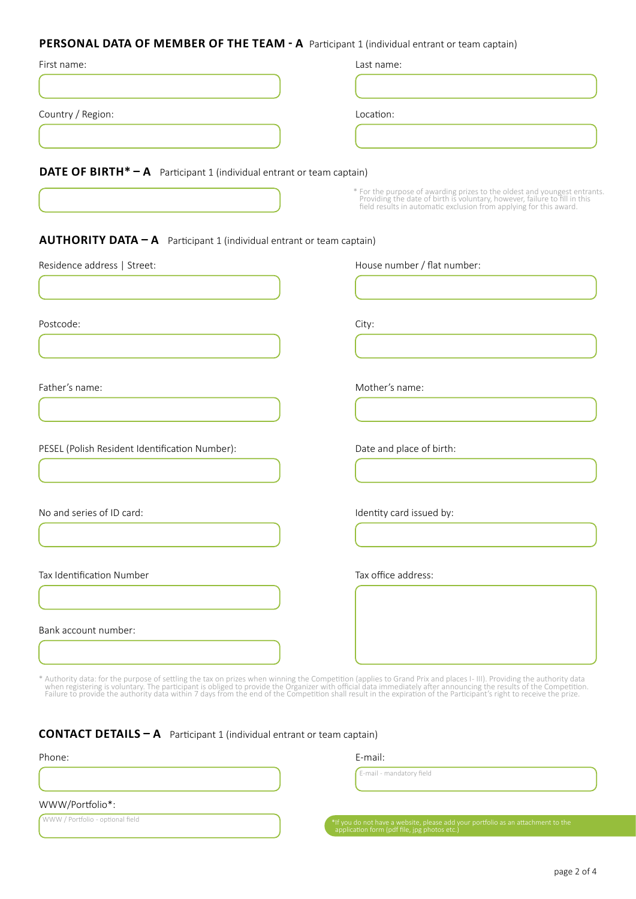| PERSONAL DATA OF MEMBER OF THE TEAM - A Participant 1 (individual entrant or team captain) |                                                                                                                                                                                                                               |  |  |  |
|--------------------------------------------------------------------------------------------|-------------------------------------------------------------------------------------------------------------------------------------------------------------------------------------------------------------------------------|--|--|--|
| First name:                                                                                | Last name:                                                                                                                                                                                                                    |  |  |  |
|                                                                                            |                                                                                                                                                                                                                               |  |  |  |
| Country / Region:                                                                          | Location:                                                                                                                                                                                                                     |  |  |  |
|                                                                                            |                                                                                                                                                                                                                               |  |  |  |
| <b>DATE OF BIRTH* - A</b> Participant 1 (individual entrant or team captain)               |                                                                                                                                                                                                                               |  |  |  |
|                                                                                            | * For the purpose of awarding prizes to the oldest and youngest entrants.<br>Providing the date of birth is voluntary, however, failure to fill in this<br>field results in automatic exclusion from applying for this award. |  |  |  |
| <b>AUTHORITY DATA - A</b> Participant 1 (individual entrant or team captain)               |                                                                                                                                                                                                                               |  |  |  |
| Residence address   Street:                                                                | House number / flat number:                                                                                                                                                                                                   |  |  |  |
|                                                                                            |                                                                                                                                                                                                                               |  |  |  |
| Postcode:                                                                                  | City:                                                                                                                                                                                                                         |  |  |  |
|                                                                                            |                                                                                                                                                                                                                               |  |  |  |
| Father's name:                                                                             | Mother's name:                                                                                                                                                                                                                |  |  |  |
|                                                                                            |                                                                                                                                                                                                                               |  |  |  |
| PESEL (Polish Resident Identification Number):                                             | Date and place of birth:                                                                                                                                                                                                      |  |  |  |
|                                                                                            |                                                                                                                                                                                                                               |  |  |  |

No and series of ID card:

Tax Identification Number

Bank account number:

Identity card issued by:

Tax office address:

\* Authority data: for the purpose of settling the tax on prizes when winning the Competition (applies to Grand Prix and places I- III). Providing the authority data<br>when registering is voluntary. The participant is obliged

| <b>CONTACT DETAILS - A</b> Participant 1 (individual entrant or team captain) |  |  |
|-------------------------------------------------------------------------------|--|--|
|-------------------------------------------------------------------------------|--|--|

| Phone:                            | E-mail:                                                                                                                          |  |
|-----------------------------------|----------------------------------------------------------------------------------------------------------------------------------|--|
|                                   | E-mail - mandatory field                                                                                                         |  |
| WWW/Portfolio*:                   |                                                                                                                                  |  |
| (WWW / Portfolio - optional field | *If you do not have a website, please add your portfolio as an attachment to the<br>application form (pdf file, jpg photos etc.) |  |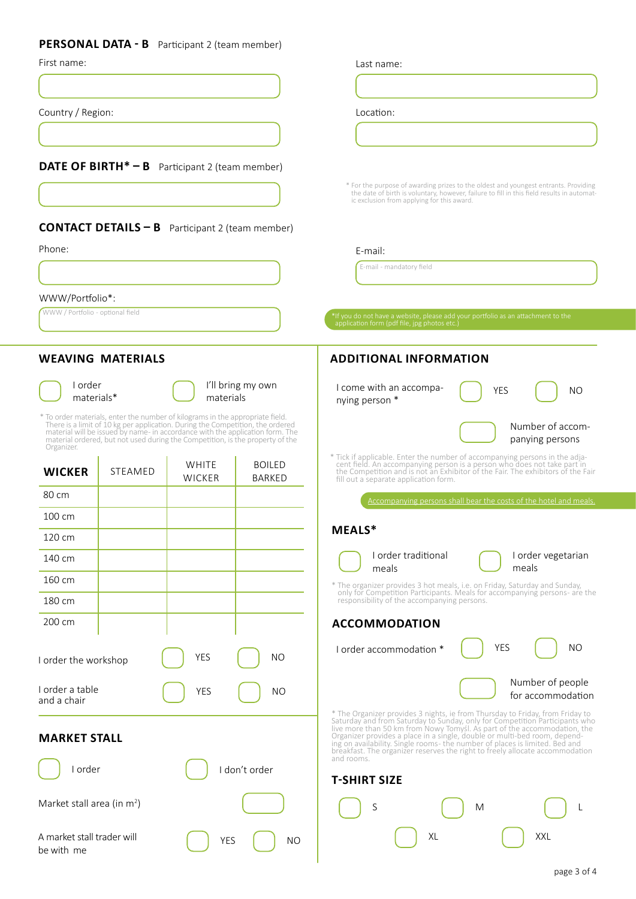#### **PERSONAL DATA - B** Participant 2 (team member)

|  | First name: |
|--|-------------|
|--|-------------|

Country / Region:

**DATE OF BIRTH\* – B** Participant 2 (team member)

#### **CONTACT DETAILS – B** Participant 2 (team member)

Phone:

WWW/Portfolio\*:

WWW / Portfolio - optional field **abulation is a medicated a website, please add your portfolio as an attachment to the application form (pdf file, jpg photos etc.)** 

#### **WEAVING MATERIALS**

I order materials\*



I'll bring my own materials

÷.

\* To order materials, enter the number of kilograms in the appropriate field.<br>There is a limit of 10 kg per application. During the Competition, the ordered<br>material will be issued by name- in accordance with the applicati material ordered, but not used during the Competition, is the property of the Organizer.

à.

| <b>WICKER</b>                  | <b>STEAMED</b> | WHITE<br><b>WICKER</b> | <b>BOILED</b><br><b>BARKED</b> |  |
|--------------------------------|----------------|------------------------|--------------------------------|--|
| 80 cm                          |                |                        |                                |  |
| 100 cm                         |                |                        |                                |  |
| 120 cm                         |                |                        |                                |  |
| 140 cm                         |                |                        |                                |  |
| 160 cm                         |                |                        |                                |  |
| 180 cm                         |                |                        |                                |  |
| 200 cm                         |                |                        |                                |  |
| I order the workshop           |                | <b>YES</b>             | <b>NO</b>                      |  |
| I order a table<br>and a chair |                | <b>YES</b>             | <b>NO</b>                      |  |
| <b>MARKET STALL</b>            |                |                        |                                |  |
| I order                        |                |                        | I don't order                  |  |



#### **ADDITIONAL INFORMATION**

Last name:

Location:

E-mail:

E-mail - mandatory field

| I come with an accompa-<br>nying person * | <b>YFS</b> | NO.                                 |
|-------------------------------------------|------------|-------------------------------------|
|                                           |            | Number of accom-<br>panying persons |

\* For the purpose of awarding prizes to the oldest and youngest entrants. Providing the date of birth is voluntary, however, failure to fill in this field results in automat- ic exclusion from applying for this award.

\* Tick if applicable. Enter the number of accompanying persons in the adja-<br>cent field. An accompanying person is a person who does not take part in<br>the Competition and is not an Exhibitor of the Fair. The exhibitors of th

Accompanying persons shall bear the costs of the hotel and meals.

#### **MEALS\***



I order vegetarian meals

\* The organizer provides 3 hot meals, i.e. on Friday, Saturday and Sunday, only for Competition Participants. Meals for accompanying persons - are the responsibility of the accompanying persons.

#### **ACCOMMODATION**

I order accommodation \*

| NΩ<br>YFS         |  |
|-------------------|--|
| Number of people  |  |
| for accommodation |  |

\* The Organizer provides 3 nights, ie from Thursday to Friday, from Friday to Saturday and from Saturday to Sunday, only for Competition Participants who live more than 50 km from Nowy Tomys!. As part of the accommodation, breakfast. The organizer reserves the right to freely allocate accommodation and rooms.